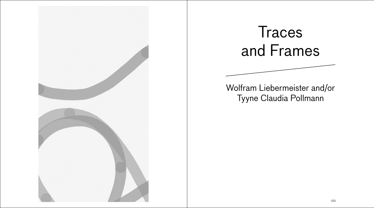





Wolfram Liebermeister and/or Tyyne Claudia Pollmann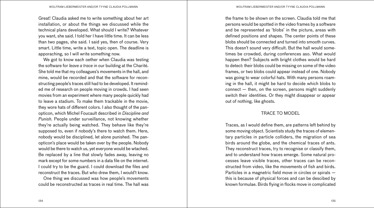Great! Claudia asked me to write something about her art installation, or about the things we discussed while the technical plans developed. What should I write? Whatever you want, she said. I told her I have little time. It can be less than two pages, she said. I said yes, then of course. Very smart. Little time, write a text, topic open. The deadline is apporaching, so I will write something now.

We got to know each oether when Claudia was testing the software for *leave a trace* in our building at the Charité. She told me that my colleagues's movements in the hall, and mine, would be recorded and that the software for reconstructing people's traces still had to be developed. It reminded me of research on people moving in crowds. I had seen movies from an experiment where many people quickly had to leave a stadium. To make them trackable in the movie, they wore hats of different colors. I also thought of the panopticon, which Michel Foucault described in *Discipline and Punish.* People under surveillance, not knowing whether they're actually being watched. They behave like they're supposed to, even if nobody's there to watch them. Here, nobody would be disciplined, let alone punished. The panopticon's place would be taken over by the people. Nobody would be there to watch us, yet everyone would be wtached. Be replaced by a line that slowly fades away, leaving no mark except for some numbers in a data file on the internet. I could try to be the guard. I could download the files and reconstruct the traces. But who drew them, I would't know.

One thing we discussed was how people's movements could be reconstructed as traces in real time. The hall was

the frame to be shown on the screen. Claudia told me that persons would be spotted in the video frames by a software and be represented as 'blobs' in the picture, areas with defined positions and shapes. The center points of these blobs should be connected and turned into smooth curves. This doesn't sound very difficult. But the hall would sometimes be crowded, during conferences aso. What would happen then? Subjects with bright clothes would be hard to detect: their blobs could be missing on some of the video frames, or two blobs could appear instead of one. Nobody was going to wear colorful hats. With many persons roaming in the hall, it might be hard to decide which blobs to connect — then, on the screen, persons might suddenly switch their identities. Or they might disappear or appear out of nothing, like ghosts.

## TRACE TO MODEL

Traces, as I would define them, are patterns left behind by some moving object. Scientists study the traces of elementary particles in particle colliders, the migration of sea birds around the globe, and the chemical traces of ants. They reconstruct traces, try to recognise or classify them, and to understand how traces emerge. Some natural processes leave visible traces, other traces can be reconstructed from video, like the movements of fish and birds. Particles in a magnetric field move in circles or spirals this is because of physical forces and can be descibed by known formulae. Birds flying in flocks move in complicated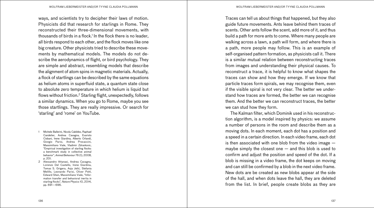ways, and scientists try to decipher their laws of motion. Physicists did that research for starlings in Rome. They reconstructed their three-dimensional movements, with thousands of birds in a flock.1 In the flock there is no leader, all birds respond to each other, and the flock moves like one big creature. Other physicists tried to describe these movements by mathematical models. The models do not describe the aerodynamics of flight, or bird psychology. They are simple and abstract, resembling models that describe the alignment of atom spins in magnetic materials. Actually, a flock of startlings can be described by the same equations as helium atoms in superfluid state, a quantum state close to absolute zero temperature in which helium is liquid but flows without friction.2 Starling flight, unexpectedly, follows a similar dynamics. When you go to Rome, maybe you see those startlings. They are really impressive. Or search for 'starling' and 'rome' on YouTube.

- 1 Michele Ballerini, Nicola Cabibbo, Raphael Candelier, Andrea Cavagna, Evaristo Cisbani, Irene Giardina, Alberto Orlandi, Giorgio Parisi, Andrea Procaccini, Massimiliano Viale, Vladimir Zdravkovic, "Empirical investigation of starling flocks: a benchmark study in collective animal behavior", *Animal Behaviour* 76 (1), 2008, p. 201.
- 2 Alessandro Attanasi, Andrea Cavagna, Lorenzo Del Castello, Irene Giardina, Tomas S. Grigera, Asja Jelić, Stefania Melillo, Leonardo Parisi, Oliver Pohl, Edward Shen, Massimiliano Viale, "Information transfer and behavioral inertia in starling flocks", *Nature Physics* 10, 2014, pp. 691—696.

Traces can tell us about things that happened, but they also guide future movements. Ants leave behind them traces of scents. Other ants follow the scent, add more of it, and thus build a path for more ants to come. Where many people are walking across a lawn, a path will form, and where there is a path, more people may follow. This is an example of self-organised pattern formation, as physicists call it. There is a similar mutual relation between reconstructing traces from images and understanding their physical causes. To reconstruct a trace, it is helpful to know what shapes the traces can show and how they emerge. If we know that particle traces form spirals, we may recognise them, even if the visible spiral is not very clear. The better we understand how traces are formed, the better we can recognise them. And the better we can reconstruct traces, the better we can stud how they form.

The Kalman filter, which Dominik used in his reconstruction algorithm, is a model inspired by physics: we assume a number of persons in the room and describe them as a moving dots. In each moment, each dot has a position and a speed in a certain direction. In each video frame, each dot is then associated with one blob from the video image maybe simply the closest one — and this blob is used to confirm and adjust the position and speed of the dot. If a blob is missing in a video frame, the dot keeps on moving and can still be confirmed by a blob in the next video frame. New dots are be created as new blobs appear at the side of the hall, and when dots leave the hall, they are deleted from the list. In brief, people create blobs as they are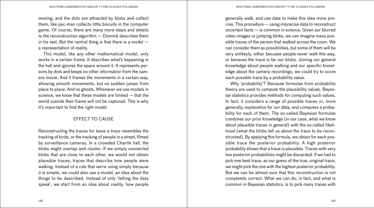moving, and the dots are attracted by blobs and collect them, like pac-man collects little biscuits in the computer game. Of course, there are many more steps and details to the reconstruction algorithm — Dominik describes them in his text. But the central thing is that there is a model  $$ a representation of reality.

This model, like any other mathematical model, only works in a certain frame. It describes what's happening in the hall and ignores the space around it. It represents persons by dots and keeps no other information from the camera movie. And it frames the movements in a certain way, allowing smooth movements, but no sudden jumps from place to place. And no ghosts. Whenever we use models in science, we know that these models are limited — that the world outside their frame will not be captured. This is why it's important to find the right model.

## EFFECT TO CAUSE

Reconstructing the traces for *leave a trace* resembles the tracking of birds, or the tracking of people in a street, filmed by surveillance cameras. In a crowded Charité hall, the blobs might overlap and cluster. If we simply connected blobs that are close to each other, we would not obtain plausible traces, traces that describe how people were walking. Instead of a rule that we're using simply because it is simple, we could also use a model, an idea about the things to be described. Instead of only 'letting the data speak', we start from an idea about reality, how people

generally walk, and use data to make this idea more precise. This procedure — using imprecise data to reconstruct uncertain facts — is common in science. Given our blurred video images or jumping blobs, we can imagine many possible traces of the person that walked across the room. We can consider them as possibilities, but some of them will be very unlikeyly, either becuase people never walk this way, or because the trace is far our blobs. Joining our general knowledge about people walking and our specific knowledge about the camera recordings, we could try to score each possible trace by a probability value.

Why 'probability'? Because formulae from probability theory are used to compute the plausibility values. Bayesian statistics provides methods for computing such values. In fact, it considers a range of possible traces or, more generally, explanatios for our data, and computes a probability for each of them. The so-called Bayesian formulae combines our prior knowledge (in our case, what we know about plausible traces in general) with the so-called likelihood (what the blobs tell us about the trace to be reconstructed). By applying this formula, we obtain for each possible trace the posterior probability. A high posterior probability shows that a trace is plausible. Traces with very low posterior probabilities might be discarded. If we had to pick one best trace, as our guess of the true, original trace, we might pick the one with the highest posterior probability. But we can be almost sure that this reconstruction is not completely correct. What we can do, in fact, and what is common in Bayesian statistics, is to pick many traces with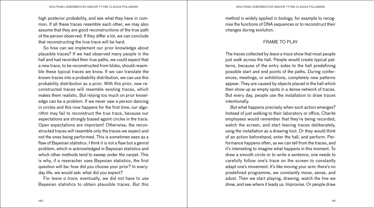high posterior probability, and see what they have in common. If all these traces resemble each other, we may also assume that they are good reconstructions of the true path of the person observed. If they differ a lot, we can conclude that reconstructing the true trace will be hard.

So how can we implement our prior knowledge about plausible traces? If we had observed many people in the hall and had recorded their true paths, we could expect that a new trace, to be reconstructed from blobs, should resemble these typical traces we know. If we can translate the known traces into a probability distribution, we can use this probability distribution as a prior. With this prior, new reconstructed traces will resemble existing traces, which makes them realistic. But relying too much on prior knowledge can be a problem. If we never saw a person dancing in circles and this now happens for the first time, our algorithm may fail to reconstruct the true trace, because our expectations are strongly biased agsint circles in the trace. Open expectations are important! Otherwise, the reconstructed traces will resemble only the traces we expect and not the ones being performed. This is sometimes seen as a flaw of Bayesian statistics. I think it is not a flaw but a genral problem, which is acknowledged in Bayesian statistics and which other methods tend to sweep under the carpet. This is why, if a reseracher uses Bayesian statistics, the first question will be: how did you choose your prior? In everyday life, we would ask: what did you expect?

For l*eave a trace,* eventually, we did not have to use Bayesian statistics to obtain plausible traces. But this

method is widely applied in biology, for example to recognise the functions of DNA sequences or to reconstruct their changes during evolution.

## FRAME TO PLAY

The traces collected by *leave a trace* show that most people just walk across the hall. People would create typical patterns, because of the entry sides to the hall predefining possible start and end points of the paths. During conferences, meetings, or exhibitions, completely new patterns appear. They are caused by objects placed in the hall which then show up as empty spots in a dense network of traces. But every day, people use the installation to draw traces intentionally.

But what happens precisely when such action emerges? Instead of just walking to their laboratory or office, Charité employees would remember that they're being recorded, watch the screen, and start leaving traces deliberately, usng the installation as a drawing tool. Or they would think of an action beforehand, enter the hall, and perform. Performance happens often, as we can tell from the traces, and it's interesting to imagine what happens in this moment. To draw a smooth circle or to write a sentence, one needs to carefully follow one's trace on the screen to constantly adapt one's movement. It's like moving your arm: there's no predefined programme, we constantly move, sense, and adust. Then we start playing, drawing, watch the line we drew, and see where it leads us. Improvise. Or people draw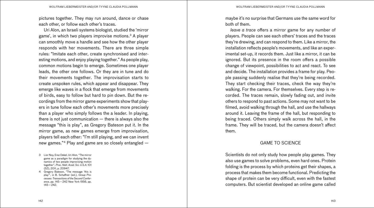pictures together. They may run around, dance or chase each other, or follow each other's traces.

Uri Alon, an Israeli systems biologist, studied the 'mirror game', in which two players improvise motions.3 A player can smoothly move a handle and see how the other player responds with her movements. There are three simple rules: "Imitate each other, create synchronised and interesting motions, and enjoy playing together." As people play, common motions begin to emerge. Sometimes one player leads, the other one follows. Or they are in tune and do their movements together. The improvisation starts to create unspoken rules, which appear and disappear. They emerge like waves in a flock that emerge from movements of birds, easy to follow but hard to pin down. But the recordings from the mirror game experiments show that players in tune follow each other's movements more precisely than a player who simply follows the a leader. In playing, there is not just communication — there is always also the message "this is play", as Gregory Bateson put it. In the mirror game, as new games emerge from improvisation, players tell each other: "I'm still playing, and we can invent new games."4 Play and game are so closely entangled —

3 Lior Noy, Erez Dekel, Uri Alon, "The mirror game as a paradigm for studying the dynamics of two people improvising motion together", *Proc. Natl. Acad. Sci. U.S.A.* 101 (52), 2011, p. 20947.

4 Gregory Bateson, "The message 'this is play'", in B. Schaffner (ed.), *Group Processes: Transactions of the Second Conference,* pp. 145—242 New York 1956, pp. 145—242.

maybe it's no surprise that Germans use the same word for both of them.

*leave a trace* offers a mirror game for any number of players. People can see each others' traces and the traces they're drewing, and can respond to them. Like a mirror, the installation reflects people's movements, and like an experimental set-up, it records them. Just like a mirror, it can be ignored. But its presence in the room offers a possible change of viewpoint, possibilities to act and react. To see and decide. The installation provides a frame for play. People passing suddenly realise that they're being recorded. They start checking their traces, check the way they're walking. For the camera. For themselves. Every step is recorded. The traces remain, slowly fading out, and invite others to respond to past actions. Some may not want to be filmed, avoid walking through the hall, and use the hallways around it. Leaving the frame of the hall, but responding to being traced. Others simply walk across the hall, in the frame. They will be traced, but the camera doesn't affect them.

## GAME TO SCIENCE

Scientists do not only study how people play games. They also use games to solve problems, even hard ones. Protein folding is the process by which proteins get their shapes, a process that makes them become functional. Predicting the shape of protein can be very difficult, even with the fastest computers. But scientist developed an online game called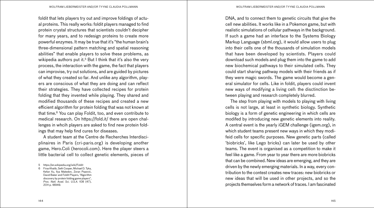foldit that lets players try out and improve foldings of actual proteins. This really works: foldit players managed to find protein crystal structures that scientists couldn't decipher for many years, and to redesign proteins to create more powerful enzymes. It may be true that it's "the human brain's three-dimensional pattern matching and spatial reasoning abilities" that enable players to solve these problems, as wikipedia authors put it.<sup>5</sup> But I think that it's also the very process, the interaction with the game, the fact that players can improvise, try out solutions, and are guided by pictures of what they created so far. And unlike any algorithm, players are conscious of what they are doing and can reflect their strategies. They have collected recipes for protein folding that they invented while playing. They shared and modified thousands of these recipes and created a new efficient algorithm for protein folding that was not known at that time.6 You can play Foldit, too, and even contribute to medical research. On https://fold.it/ there are open challenges in whcih players are asked to find new protein foldings that may help find cures for diseases.

A student team at the Centre de Recherches Interdisciplinaires in Paris (cri-paris.org) is developing another game, Hero.Coli (herocoli.com). Here the player steers a little bacterial cell to collect genetic elements, pieces of

DNA, and to connect them to genetic circuits that give the cell new abilities. It works like in a Pokemon game, but with realistic simulations of cellular pathways in the background. If such a game had an interface to the Systems Biology Markup Language (sbml.org), it would allow users to plug into their cells one of the thousands of simulation models that have been developed by scientists. Players could download such models and plug them into the game to add new biochemical pathways to their simulated cells. They could start sharing pathway models with their friends as if they were magic swords. The game would become a general simulator for cells. Like in foldit, players could invent new ways of modifying a living cell: the disctinction between playing and research completely blurred.

The step from playing with models to playing with living cells is not large, at least in synthetic biology. Synthetic biology is a form of genetic engineering in which cells are modifed by introducing new genetic elements into reality. A central event is the yearly iGEM challenge (igem.org), in which student teams present new ways in which they modifeid cells for specific purposes. New genetic parts (called 'biobricks', like Lego bricks) can later be used by other teams. The event is organised as a competition to make it feel like a game. From year to year there are more biobricks that can be combined. New ideas are emerging, and they are driven by the newly emerging materials. In a way, every contribution to the contest creates new traces: new biobricks or new ideas that will be used in other projects, and so the projects themselves form a network of traces. I am fascinated

<sup>5</sup> https://en.wikipedia.org/wiki/Foldit

<sup>6</sup> Firas Khatib, Seth Cooper, Michael D. Tyka, Kefan Xu, Ilya Makedon, Zoran Popović, David Baker and Foldit Players, "Algorithm discovery by protein folding game players", *Proc. Natl. Acad. Sci. U.S.A.* 108 (47), 2011 p. 18949.